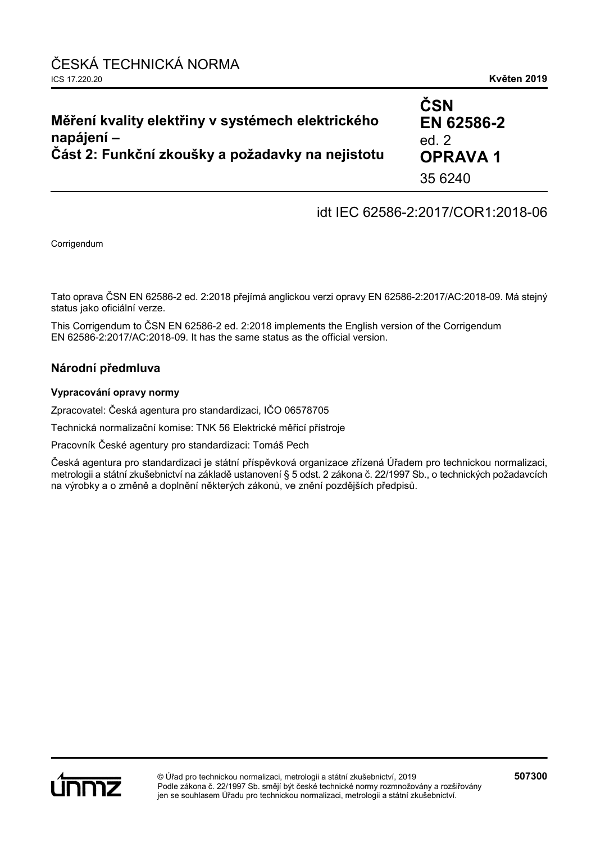| Měření kvality elektřiny v systémech elektrického<br>napájení – | ČSN<br>EN 62586-2<br>ed. $2$ |
|-----------------------------------------------------------------|------------------------------|
| Část 2: Funkční zkoušky a požadavky na nejistotu                | <b>OPRAVA1</b>               |
|                                                                 | 35 6240                      |

## idt IEC 62586-2:2017/COR1:2018-06

Corrigendum

Tato oprava ČSN EN 62586-2 ed. 2:2018 přejímá anglickou verzi opravy EN 62586-2:2017/AC:2018-09. Má stejný status jako oficiální verze.

This Corrigendum to ČSN EN 62586-2 ed. 2:2018 implements the English version of the Corrigendum EN 62586-2:2017/AC:2018-09. It has the same status as the official version.

#### **Národní předmluva**

#### **Vypracování opravy normy**

Zpracovatel: Česká agentura pro standardizaci, IČO 06578705

Technická normalizační komise: TNK 56 Elektrické měřicí přístroje

Pracovník České agentury pro standardizaci: Tomáš Pech

Česká agentura pro standardizaci je státní příspěvková organizace zřízená Úřadem pro technickou normalizaci, metrologii a státní zkušebnictví na základě ustanovení § 5 odst. 2 zákona č. 22/1997 Sb., o technických požadavcích na výrobky a o změně a doplnění některých zákonů, ve znění pozdějších předpisů.

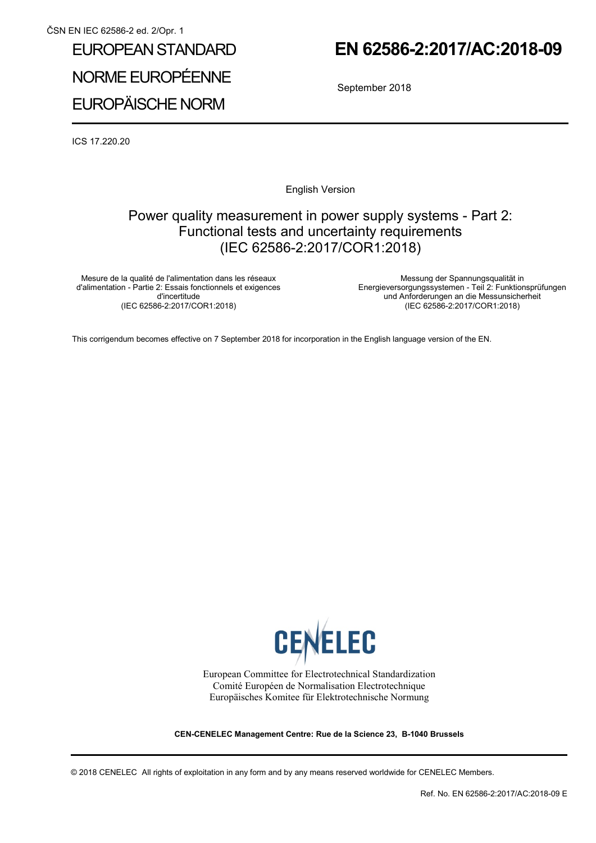# EUROPEAN STANDARD NORME EUROPÉENNE EUROPÄISCHE NORM

## **EN 62586-2:2017/AC:2018-09**

September 2018

ICS 17.220.20

English Version

## Power quality measurement in power supply systems - Part 2: Functional tests and uncertainty requirements (IEC 62586-2:2017/COR1:2018)

Mesure de la qualité de l'alimentation dans les réseaux d'alimentation - Partie 2: Essais fonctionnels et exigences d'incertitude (IEC 62586-2:2017/COR1:2018)

 Messung der Spannungsqualität in Energieversorgungssystemen - Teil 2: Funktionsprüfungen und Anforderungen an die Messunsicherheit (IEC 62586-2:2017/COR1:2018)

This corrigendum becomes effective on 7 September 2018 for incorporation in the English language version of the EN.



European Committee for Electrotechnical Standardization Comité Européen de Normalisation Electrotechnique Europäisches Komitee für Elektrotechnische Normung

**CEN-CENELEC Management Centre: Rue de la Science 23, B-1040 Brussels** 

© 2018 CENELEC All rights of exploitation in any form and by any means reserved worldwide for CENELEC Members.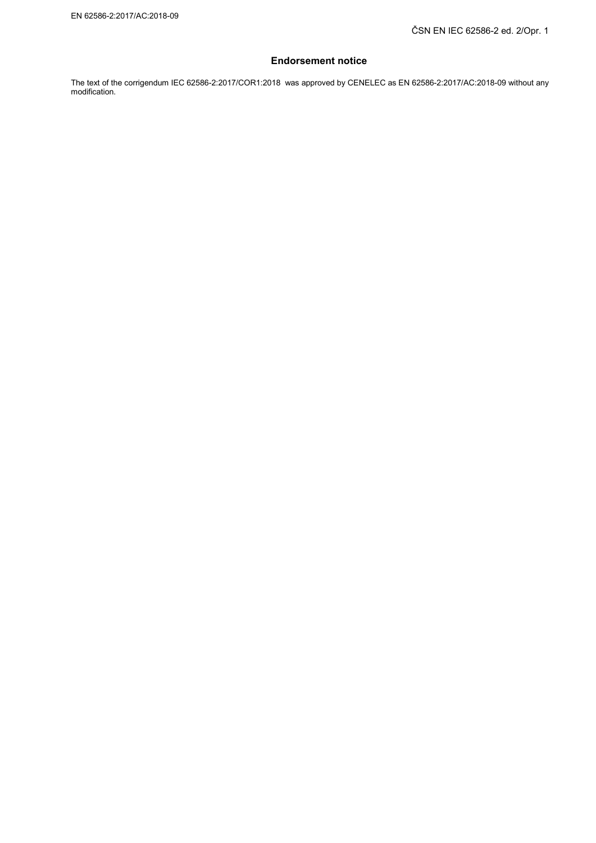#### **Endorsement notice**

The text of the corrigendum IEC 62586-2:2017/COR1:2018 was approved by CENELEC as EN 62586-2:2017/AC:2018-09 without any modification.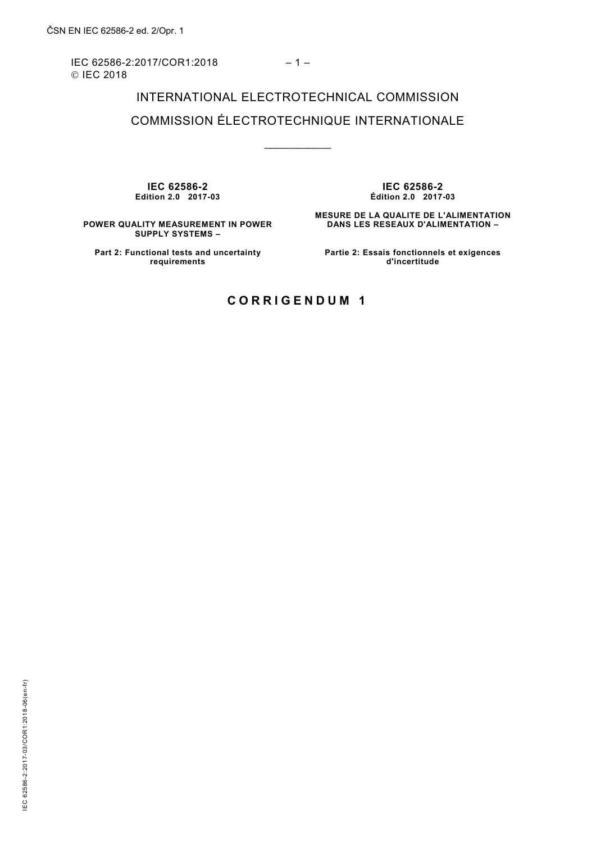IEC 62586-2:2017/COR1:2018 – 1 – © IEC 2018

## INTERNATIONAL ELECTROTECHNICAL COMMISSION COMMISSION ÉLECTROTECHNIQUE INTERNATIONALE

\_\_\_\_\_\_\_\_\_\_\_\_

**IEC 62586-2 Edition 2.0 2017-03**

**IEC 62586-2 Édition 2.0 2017-03**

**MESURE DE LA QUALITE DE L'ALIMENTATION DANS LES RESEAUX D'ALIMENTATION –** 

**POWER QUALITY MEASUREMENT IN POWER SUPPLY SYSTEMS –** 

**Part 2: Functional tests and uncertainty Partie 2: Essais fonctionnels et exigences d'incertitude**

**requirements**

### **CORRIGENDUM 1**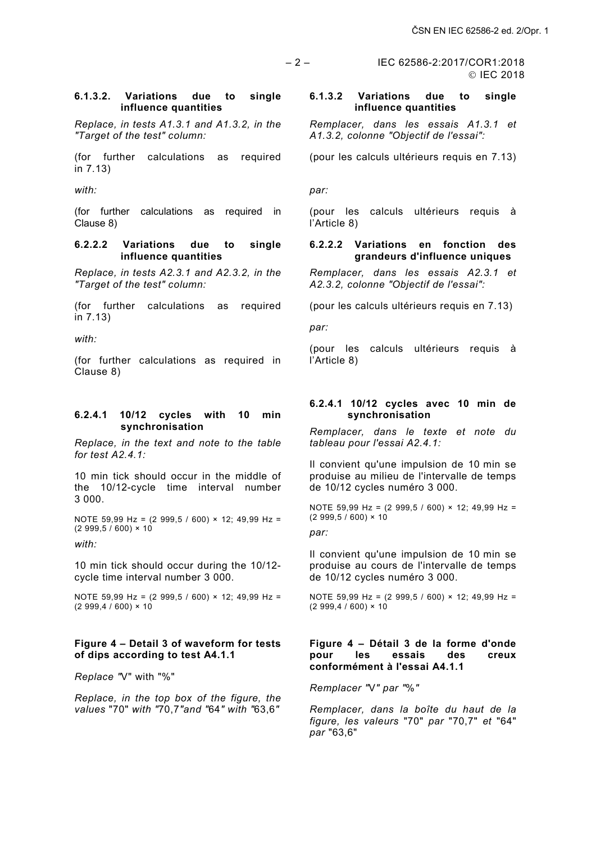– 2 – IEC 62586-2:2017/COR1:2018

### © IEC 2018

#### **6.1.3.2. Variations due to single influence quantities**

*Replace, in tests A1.3.1 and A1.3.2, in the "Target of the test" column:*

(for further calculations as required in 7.13)

*with:*

(for further calculations as required in Clause 8)

#### **6.2.2.2 Variations due to single influence quantities**

*Replace, in tests A2.3.1 and A2.3.2, in the "Target of the test" column:*

(for further calculations as required in 7.13)

*with:*

(for further calculations as required in Clause 8)

#### **6.2.4.1 10/12 cycles with 10 min synchronisation**

*Replace, in the text and note to the table for test A2.4.1:*

10 min tick should occur in the middle of the 10/12-cycle time interval number 3 000.

NOTE 59,99 Hz = (2 999,5 / 600) × 12; 49,99 Hz =  $(2999,5/600) \times 10^{-7}$ 

*with:*

10 min tick should occur during the 10/12 cycle time interval number 3 000.

NOTE 59,99 Hz = (2 999,5 / 600) × 12; 49,99 Hz =  $(2999, 4 / 600) \times 10$ 

#### **Figure 4 – Detail 3 of waveform for tests of dips according to test A4.1.1**

*Replace "*V" with "%"

*Replace, in the top box of the figure, the values* "70" *with "*70,7*"and "*64*" with "*63,6*"* 

#### **6.1.3.2 Variations due to single influence quantities**

*Remplacer, dans les essais A1.3.1 et A1.3.2, colonne "Objectif de l'essai":* 

(pour les calculs ultérieurs requis en 7.13)

*par:*

(pour les calculs ultérieurs requis à l'Article 8)

#### **6.2.2.2 Variations en fonction des grandeurs d'influence uniques**

*Remplacer, dans les essais A2.3.1 et A2.3.2, colonne "Objectif de l'essai":*

(pour les calculs ultérieurs requis en 7.13)

*par:*

(pour les calculs ultérieurs requis à l'Article 8)

#### **6.2.4.1 10/12 cycles avec 10 min de synchronisation**

*Remplacer, dans le texte et note du tableau pour l'essai A2.4.1:*

Il convient qu'une impulsion de 10 min se produise au milieu de l'intervalle de temps de 10/12 cycles numéro 3 000.

NOTE 59,99 Hz = (2 999,5 / 600) × 12; 49,99 Hz =  $(2999,5 / 600) \times 10$ 

*par:*

Il convient qu'une impulsion de 10 min se produise au cours de l'intervalle de temps de 10/12 cycles numéro 3 000.

NOTE 59,99 Hz = (2 999,5 / 600) × 12; 49,99 Hz =  $(2999, 4 / 600) \times 10^{-7}$ 

#### **Figure 4 – Détail 3 de la forme d'onde pour les essais des creux conformément à l'essai A4.1.1**

*Remplacer "*V*" par "*%*"* 

*Remplacer, dans la boîte du haut de la figure, les valeurs* "70" *par* "70,7" *et* "64" *par* "63,6"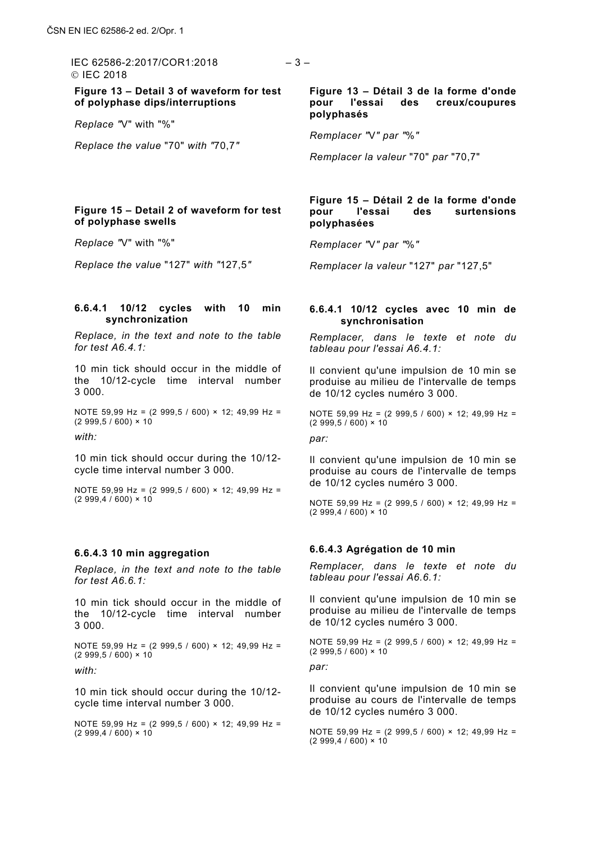© IFC 2018

**Figure 13 – Detail 3 of waveform for test of polyphase dips/interruptions**

*Replace "*V" with "%"

*Replace the value* "70" *with "*70,7*"*

#### **Figure 15 – Detail 2 of waveform for test of polyphase swells**

*Replace "*V" with "%"

*Replace the value* "127" *with "*127,5*"*

#### **6.6.4.1 10/12 cycles with 10 min synchronization**

*Replace, in the text and note to the table for test A6.4.1:*

10 min tick should occur in the middle of the 10/12-cycle time interval number 3 000.

NOTE 59,99 Hz = (2 999,5 / 600) × 12; 49,99 Hz =  $(2999,5/600) \times 10^{-7}$ 

*with:*

10 min tick should occur during the 10/12 cycle time interval number 3 000.

NOTE 59,99 Hz = (2 999,5 / 600) × 12; 49,99 Hz =  $(2999,4/600) \times 10$ 

#### **6.6.4.3 10 min aggregation**

*Replace, in the text and note to the table for test A6.6.1:*

10 min tick should occur in the middle of the 10/12-cycle time interval number 3 000.

NOTE 59,99 Hz = (2 999,5 / 600) × 12; 49,99 Hz =  $(2999,5 / 600) \times 10$ 

*with:*

10 min tick should occur during the 10/12 cycle time interval number 3 000.

NOTE 59,99 Hz = (2 999,5 / 600) × 12; 49,99 Hz =  $(2999,4/600) \times 10$ 

**Figure 13 – Détail 3 de la forme d'onde pour l'essai des creux/coupures polyphasés**

*Remplacer "*V*" par "*%*"* 

*Remplacer la valeur* "70" *par* "70,7"

#### **Figure 15 – Détail 2 de la forme d'onde pour l'essai des surtensions polyphasées**

*Remplacer "*V*" par "*%*"* 

*Remplacer la valeur* "127" *par* "127,5"

#### **6.6.4.1 10/12 cycles avec 10 min de synchronisation**

*Remplacer, dans le texte et note du tableau pour l'essai A6.4.1:*

Il convient qu'une impulsion de 10 min se produise au milieu de l'intervalle de temps de 10/12 cycles numéro 3 000.

NOTE 59,99 Hz = (2 999,5 / 600) × 12; 49,99 Hz =  $(2999.5 / 600) \times 10$ 

*par:*

Il convient qu'une impulsion de 10 min se produise au cours de l'intervalle de temps de 10/12 cycles numéro 3 000.

NOTE 59,99 Hz = (2 999,5 / 600) × 12; 49,99 Hz =  $(2999, 4 / 600) \times 10^{-7}$ 

#### **6.6.4.3 Agrégation de 10 min**

*Remplacer, dans le texte et note du tableau pour l'essai A6.6.1:*

Il convient qu'une impulsion de 10 min se produise au milieu de l'intervalle de temps de 10/12 cycles numéro 3 000.

NOTE 59,99 Hz = (2 999,5 / 600) × 12; 49,99 Hz =  $(2999,5/600) \times 10$ 

*par:*

Il convient qu'une impulsion de 10 min se produise au cours de l'intervalle de temps de 10/12 cycles numéro 3 000.

NOTE 59,99 Hz = (2 999,5 / 600) × 12; 49,99 Hz =  $(2999,4/600) \times 10$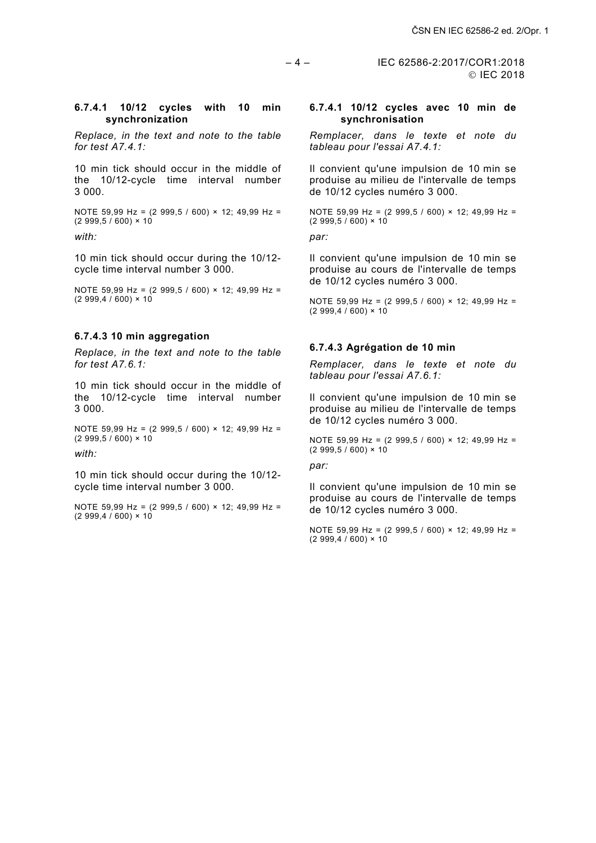$-4 -$  IEC 62586-2:2017/COR1:2018 © IEC 2018

#### **6.7.4.1 10/12 cycles with 10 min synchronization**

*Replace, in the text and note to the table for test A7.4.1:*

10 min tick should occur in the middle of the 10/12-cycle time interval number 3 000.

NOTE 59,99 Hz = (2 999,5 / 600) × 12; 49,99 Hz =  $(2999,5/600) \times 10$ 

*with:*

10 min tick should occur during the 10/12 cycle time interval number 3 000.

NOTE 59,99 Hz = (2 999,5 / 600) × 12; 49,99 Hz =  $(2999, 4 / 600) \times 10$ 

#### **6.7.4.3 10 min aggregation**

*Replace, in the text and note to the table for test A7.6.1:*

10 min tick should occur in the middle of the 10/12-cycle time interval number 3 000.

NOTE 59,99 Hz = (2 999,5 / 600) × 12; 49,99 Hz =  $(2999,5 / 600) \times 10$ 

*with:*

10 min tick should occur during the 10/12 cycle time interval number 3 000.

NOTE 59,99 Hz = (2 999,5 / 600) × 12; 49,99 Hz =  $(2999, 4 / 600) \times 10$ 

#### **6.7.4.1 10/12 cycles avec 10 min de synchronisation**

*Remplacer, dans le texte et note du tableau pour l'essai A7.4.1:*

Il convient qu'une impulsion de 10 min se produise au milieu de l'intervalle de temps de 10/12 cycles numéro 3 000.

NOTE 59,99 Hz = (2 999,5 / 600) × 12; 49,99 Hz =  $(2999,5 / 600) \times 10$ 

*par:*

Il convient qu'une impulsion de 10 min se produise au cours de l'intervalle de temps de 10/12 cycles numéro 3 000.

NOTE 59,99 Hz = (2 999,5 / 600) × 12; 49,99 Hz =  $(2999, 4 / 600) \times 10$ 

#### **6.7.4.3 Agrégation de 10 min**

*Remplacer, dans le texte et note du tableau pour l'essai A7.6.1:*

Il convient qu'une impulsion de 10 min se produise au milieu de l'intervalle de temps de 10/12 cycles numéro 3 000.

NOTE 59,99 Hz = (2 999,5 / 600) × 12; 49,99 Hz =  $(2999.5 / 600) \times 10$ 

*par:*

Il convient qu'une impulsion de 10 min se produise au cours de l'intervalle de temps de 10/12 cycles numéro 3 000.

NOTE 59,99 Hz = (2 999,5 / 600) × 12; 49,99 Hz =  $(2999, 4 / 600) \times 10$